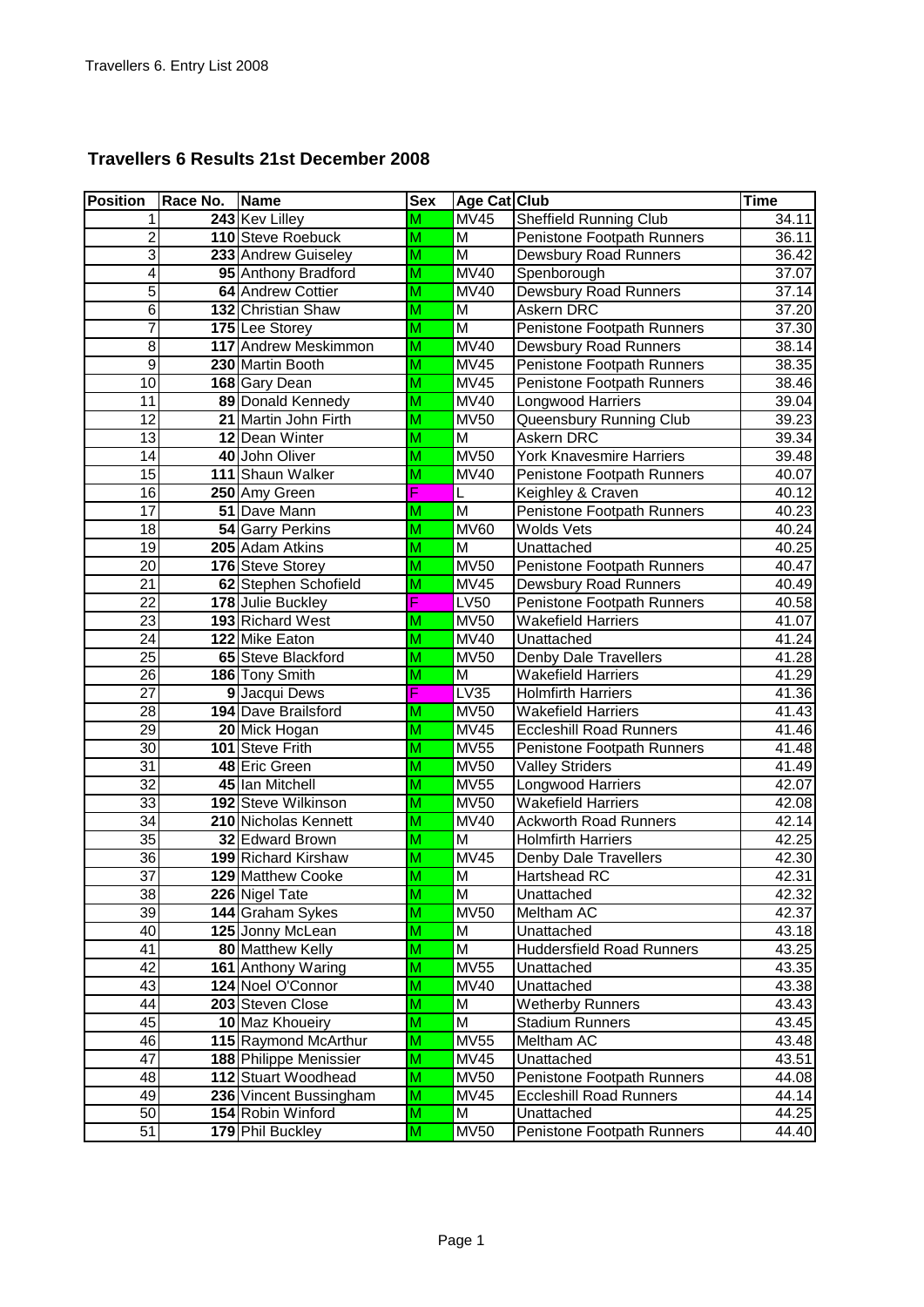## **Travellers 6 Results 21st December 2008**

| <b>Position</b>         | Race No. | Name                               | <b>Sex</b>              | <b>Age Cat Club</b>     |                                                | <b>Time</b>    |
|-------------------------|----------|------------------------------------|-------------------------|-------------------------|------------------------------------------------|----------------|
| 1                       |          | 243 Kev Lilley                     | M                       | <b>MV45</b>             | Sheffield Running Club                         | 34.11          |
| $\overline{\mathbf{c}}$ |          | 110 Steve Roebuck                  | $\overline{M}$          | M                       | Penistone Footpath Runners                     | 36.11          |
| 3                       |          | 233 Andrew Guiseley                | $\overline{\mathsf{M}}$ | M                       | Dewsbury Road Runners                          | 36.42          |
| 4                       |          | 95 Anthony Bradford                | M                       | <b>MV40</b>             | Spenborough                                    | 37.07          |
| 5                       |          | 64 Andrew Cottier                  | M                       | <b>MV40</b>             | <b>Dewsbury Road Runners</b>                   | 37.14          |
| 6                       |          | 132 Christian Shaw                 | M                       | M                       | Askern DRC                                     | 37.20          |
| $\overline{7}$          |          | 175 Lee Storey                     | $\overline{\mathsf{M}}$ | M                       | Penistone Footpath Runners                     | 37.30          |
| $\overline{8}$          |          | 117 Andrew Meskimmon               | M                       | <b>MV40</b>             | <b>Dewsbury Road Runners</b>                   | 38.14          |
| $\overline{9}$          |          | 230 Martin Booth                   | $\overline{\mathsf{M}}$ | <b>MV45</b>             | Penistone Footpath Runners                     | 38.35          |
| 10                      |          | 168 Gary Dean                      | $\overline{\mathsf{M}}$ | <b>MV45</b>             | Penistone Footpath Runners                     | 38.46          |
| 11                      |          | 89 Donald Kennedy                  | $\overline{\mathsf{M}}$ | <b>MV40</b>             | Longwood Harriers                              | 39.04          |
| 12                      |          | 21 Martin John Firth               | M                       | <b>MV50</b>             | Queensbury Running Club                        | 39.23          |
| $\overline{13}$         |          | 12 Dean Winter                     | M                       | M                       | <b>Askern DRC</b>                              | 39.34          |
| 14                      |          | 40 John Oliver                     | M                       | <b>MV50</b>             | York Knavesmire Harriers                       | 39.48          |
| 15                      |          | 111 Shaun Walker                   | M                       | <b>MV40</b>             | Penistone Footpath Runners                     | 40.07          |
| 16                      |          | 250 Amy Green                      | F                       | L                       | Keighley & Craven                              | 40.12          |
| 17                      |          | 51 Dave Mann                       | M                       | $\overline{M}$          | Penistone Footpath Runners                     | 40.23          |
| 18                      |          | 54 Garry Perkins                   | M                       | <b>MV60</b>             | <b>Wolds Vets</b>                              | 40.24          |
| 19                      |          | 205 Adam Atkins                    | $\overline{\mathsf{M}}$ | M                       | Unattached                                     | 40.25          |
| 20                      |          | 176 Steve Storey                   | M                       | <b>MV50</b>             | Penistone Footpath Runners                     | 40.47          |
| 21                      |          | 62 Stephen Schofield               | M                       | <b>MV45</b>             | <b>Dewsbury Road Runners</b>                   | 40.49          |
| $\overline{22}$         |          | 178 Julie Buckley                  | F                       | <b>LV50</b>             | Penistone Footpath Runners                     | 40.58          |
| 23                      |          | 193 Richard West                   | M                       | <b>MV50</b>             | Wakefield Harriers                             | 41.07          |
| 24                      |          | 122 Mike Eaton                     | M                       | <b>MV40</b>             | Unattached                                     | 41.24          |
| 25                      |          | 65 Steve Blackford                 | M                       | <b>MV50</b>             | Denby Dale Travellers                          | 41.28          |
| 26                      |          | 186 Tony Smith                     | M                       | $\overline{M}$          | Wakefield Harriers                             | 41.29          |
| $\overline{27}$         |          | 9 Jacqui Dews                      | F                       | <b>LV35</b>             | <b>Holmfirth Harriers</b>                      | 41.36          |
| 28                      |          | 194 Dave Brailsford                | M                       | <b>MV50</b>             | <b>Wakefield Harriers</b>                      | 41.43          |
| 29                      |          | 20 Mick Hogan                      | $\overline{\mathsf{M}}$ | <b>MV45</b>             | <b>Eccleshill Road Runners</b>                 | 41.46          |
| $\overline{30}$         |          | 101 Steve Frith                    | M                       | <b>MV55</b>             | Penistone Footpath Runners                     | 41.48          |
| 31                      |          | 48 Eric Green                      | M                       | <b>MV50</b>             | <b>Valley Striders</b>                         | 41.49          |
| $\overline{32}$         |          | 45 Ian Mitchell                    | $\overline{\mathsf{M}}$ | <b>MV55</b>             | Longwood Harriers                              | 42.07          |
| $\overline{33}$         |          | 192 Steve Wilkinson                | $\overline{\mathsf{M}}$ | <b>MV50</b>             | <b>Wakefield Harriers</b>                      | 42.08          |
| 34                      |          | 210 Nicholas Kennett               | $\overline{\mathsf{M}}$ | <b>MV40</b>             | <b>Ackworth Road Runners</b>                   | 42.14          |
| 35                      |          | 32 Edward Brown                    | $\overline{\mathsf{M}}$ | $\overline{\mathsf{M}}$ | <b>Holmfirth Harriers</b>                      | 42.25          |
| 36<br>$\overline{37}$   |          | 199 Richard Kirshaw                | M                       | <b>MV45</b>             | Denby Dale Travellers                          | 42.30          |
|                         |          | 129 Matthew Cooke                  | M                       | $\overline{\mathsf{M}}$ | Hartshead RC                                   | 42.31          |
| 38                      |          | 226 Nigel Tate<br>144 Graham Sykes | M                       | M<br><b>MV50</b>        | Unattached<br>Meltham AC                       | 42.32          |
| 39<br>40                |          | 125 Jonny McLean                   | M<br>M                  | M                       |                                                | 42.37<br>43.18 |
| 41                      |          | 80 Matthew Kelly                   | $\overline{\mathsf{M}}$ | $\overline{\mathsf{M}}$ | Unattached<br><b>Huddersfield Road Runners</b> | 43.25          |
| 42                      |          | 161 Anthony Waring                 | M                       | <b>MV55</b>             | Unattached                                     | 43.35          |
| 43                      |          | 124 Noel O'Connor                  | M                       | <b>MV40</b>             | Unattached                                     | 43.38          |
| 44                      |          | 203 Steven Close                   | M                       | M                       | <b>Wetherby Runners</b>                        | 43.43          |
| 45                      |          | 10 Maz Khoueiry                    | M                       | M                       | Stadium Runners                                | 43.45          |
| 46                      |          | 115 Raymond McArthur               | $\overline{\mathsf{M}}$ | <b>MV55</b>             | Meltham AC                                     | 43.48          |
| 47                      |          | 188 Philippe Menissier             | M                       | <b>MV45</b>             | Unattached                                     | 43.51          |
| 48                      |          | 112 Stuart Woodhead                | M                       | <b>MV50</b>             | Penistone Footpath Runners                     | 44.08          |
| 49                      |          | 236 Vincent Bussingham             | M                       | <b>MV45</b>             | <b>Eccleshill Road Runners</b>                 | 44.14          |
| 50                      |          | 154 Robin Winford                  | M                       | M                       | Unattached                                     | 44.25          |
| 51                      |          | 179 Phil Buckley                   | $\overline{\mathsf{M}}$ | <b>MV50</b>             | Penistone Footpath Runners                     | 44.40          |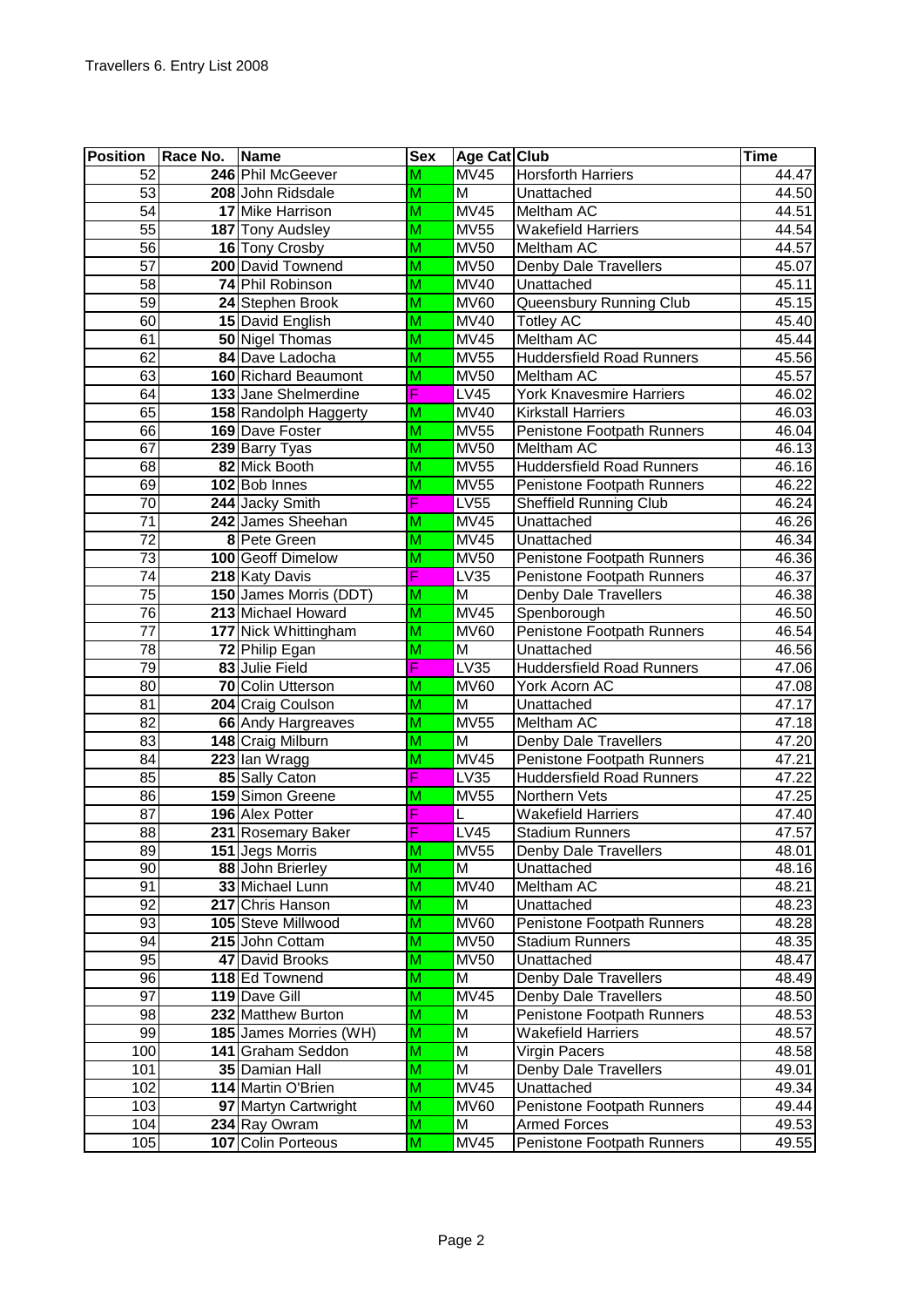| <b>Position</b>       | Race No. | <b>Name</b>                         | <b>Sex</b>              | Age Cat Club               |                                                          | <b>Time</b>    |
|-----------------------|----------|-------------------------------------|-------------------------|----------------------------|----------------------------------------------------------|----------------|
| 52                    |          | 246 Phil McGeever                   | M                       | <b>MV45</b>                | <b>Horsforth Harriers</b>                                | 44.47          |
| 53                    |          | 208 John Ridsdale                   | M                       | M                          | Unattached                                               | 44.50          |
| $\overline{54}$       |          | 17 Mike Harrison                    | $\overline{\mathsf{M}}$ | <b>MV45</b>                | Meltham AC                                               | 44.51          |
| $\overline{55}$       |          | 187 Tony Audsley                    | $\overline{\mathsf{M}}$ | <b>MV55</b>                | <b>Wakefield Harriers</b>                                | 44.54          |
| 56                    |          | 16 Tony Crosby                      | $\overline{\mathsf{M}}$ | <b>MV50</b>                | Meltham AC                                               | 44.57          |
| 57                    |          | 200 David Townend                   | $\overline{\mathsf{M}}$ | <b>MV50</b>                | <b>Denby Dale Travellers</b>                             | 45.07          |
| 58                    |          | 74 Phil Robinson                    | $\overline{\mathsf{M}}$ | <b>MV40</b>                | Unattached                                               | 45.11          |
| 59                    |          | 24 Stephen Brook                    | M                       | <b>MV60</b>                | Queensbury Running Club                                  | 45.15          |
| 60                    |          | 15 David English                    | M                       | <b>MV40</b>                | <b>Totley AC</b>                                         | 45.40          |
| 61                    |          | 50 Nigel Thomas                     | $\overline{\mathsf{M}}$ | <b>MV45</b>                | <b>Meltham AC</b>                                        | 45.44          |
| 62                    |          | 84 Dave Ladocha                     | M                       | <b>MV55</b>                | <b>Huddersfield Road Runners</b>                         | 45.56          |
| 63                    |          | 160 Richard Beaumont                | $\overline{\mathsf{M}}$ | <b>MV50</b>                | <b>Meltham AC</b>                                        | 45.57          |
| 64                    |          | 133 Jane Shelmerdine                | F                       | LV45                       | York Knavesmire Harriers                                 | 46.02          |
| 65                    |          | 158 Randolph Haggerty               | M                       | <b>MV40</b>                | <b>Kirkstall Harriers</b>                                | 46.03          |
| 66                    |          | 169 Dave Foster                     | $\overline{\mathsf{M}}$ | <b>MV55</b>                | Penistone Footpath Runners                               | 46.04          |
| 67                    |          | 239 Barry Tyas                      | $\overline{M}$          | <b>MV50</b>                | <b>Meltham AC</b>                                        | 46.13          |
| 68                    |          | 82 Mick Booth                       | $\overline{\mathsf{M}}$ | <b>MV55</b>                | <b>Huddersfield Road Runners</b>                         | 46.16          |
| 69                    |          | 102 Bob Innes                       | $\overline{\mathsf{M}}$ | <b>MV55</b>                | Penistone Footpath Runners                               | 46.22          |
| 70                    |          | 244 Jacky Smith                     | F                       | <b>LV55</b>                | <b>Sheffield Running Club</b>                            | 46.24          |
| $\overline{71}$       |          | 242 James Sheehan                   | M                       | MV45                       | Unattached                                               | 46.26          |
| 72                    |          | 8 Pete Green<br>100 Geoff Dimelow   | M                       | <b>MV45</b>                | Unattached                                               | 46.34          |
| 73<br>$\overline{74}$ |          | 218 Katy Davis                      | M<br>F                  | <b>MV50</b><br><b>LV35</b> | Penistone Footpath Runners<br>Penistone Footpath Runners | 46.36<br>46.37 |
| 75                    |          | 150 James Morris (DDT)              | M                       | M                          | Denby Dale Travellers                                    | 46.38          |
| 76                    |          | 213 Michael Howard                  | M                       | <b>MV45</b>                | Spenborough                                              | 46.50          |
| $\overline{77}$       |          | 177 Nick Whittingham                | $\overline{\mathsf{M}}$ | <b>MV60</b>                | Penistone Footpath Runners                               | 46.54          |
| 78                    |          | 72 Philip Egan                      | M                       | M                          | Unattached                                               | 46.56          |
| 79                    |          | 83 Julie Field                      | Ē                       | LV35                       | <b>Huddersfield Road Runners</b>                         | 47.06          |
| 80                    |          | 70 Colin Utterson                   | M                       | <b>MV60</b>                | York Acorn AC                                            | 47.08          |
| 81                    |          | 204 Craig Coulson                   | M                       | M                          | Unattached                                               | 47.17          |
| 82                    |          | 66 Andy Hargreaves                  | $\overline{\mathsf{M}}$ | <b>MV55</b>                | Meltham AC                                               | 47.18          |
| 83                    |          | 148 Craig Milburn                   | M                       | M                          | Denby Dale Travellers                                    | 47.20          |
| 84                    |          | 223 Ian Wragg                       | M                       | $\overline{MV45}$          | Penistone Footpath Runners                               | 47.21          |
| 85                    |          | 85 Sally Caton                      | F                       | LV35                       | <b>Huddersfield Road Runners</b>                         | 47.22          |
| 86                    |          | 159 Simon Greene                    | M                       | MV55                       | Northern Vets                                            | 47.25          |
| $\overline{87}$       |          | 196 Alex Potter                     | F                       | L                          | <b>Wakefield Harriers</b>                                | 47.40          |
| 88                    |          | 231 Rosemary Baker                  | F                       | LV45                       | Stadium Runners                                          | 47.57          |
| 89                    |          | 151 Jegs Morris                     | M                       | <b>MV55</b>                | Denby Dale Travellers                                    | 48.01          |
| 90                    |          | 88 John Brierley                    | $\overline{\mathsf{M}}$ | M                          | Unattached                                               | 48.16          |
| 91                    |          | 33 Michael Lunn                     | M                       | <b>MV40</b>                | Meltham AC                                               | 48.21          |
| 92                    |          | 217 Chris Hanson                    | M                       | M                          | Unattached                                               | 48.23          |
| 93                    |          | 105 Steve Millwood                  | $\overline{\mathsf{M}}$ | <b>MV60</b>                | Penistone Footpath Runners                               | 48.28          |
| 94                    |          | 215 John Cottam                     | M                       | <b>MV50</b>                | <b>Stadium Runners</b>                                   | 48.35          |
| 95                    |          | 47 David Brooks                     | M                       | <b>MV50</b>                | Unattached                                               | 48.47          |
| 96                    |          | 118 Ed Townend                      | M                       | M                          | Denby Dale Travellers                                    | 48.49          |
| 97<br>98              |          | 119 Dave Gill<br>232 Matthew Burton | M<br>M                  | <b>MV45</b><br>M           | Denby Dale Travellers<br>Penistone Footpath Runners      | 48.50<br>48.53 |
| 99                    |          | 185 James Morries (WH)              | M                       | M                          | Wakefield Harriers                                       | 48.57          |
| 100                   |          | 141 Graham Seddon                   | M                       | M                          | Virgin Pacers                                            | 48.58          |
| 101                   |          | 35 Damian Hall                      | $\overline{\mathsf{M}}$ | M                          | Denby Dale Travellers                                    | 49.01          |
| 102                   |          | 114 Martin O'Brien                  | M                       | MV45                       | Unattached                                               | 49.34          |
| 103                   |          | 97 Martyn Cartwright                | M                       | <b>MV60</b>                | Penistone Footpath Runners                               | 49.44          |
| 104                   |          | 234 Ray Owram                       | M                       | Μ                          | Armed Forces                                             | 49.53          |
| 105                   |          | 107 Colin Porteous                  | M                       | <b>MV45</b>                | Penistone Footpath Runners                               | 49.55          |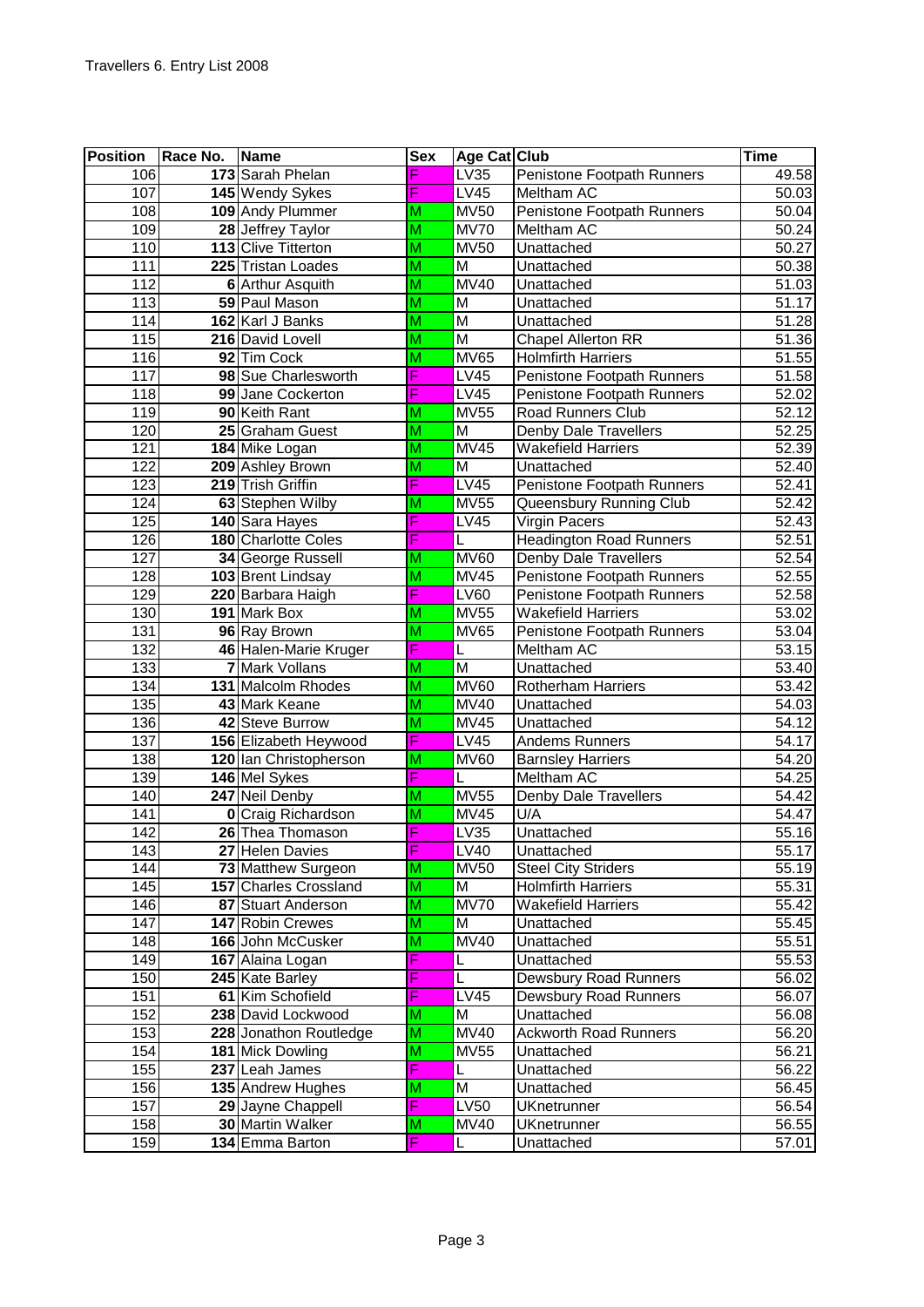| Position         | Race No. | <b>Name</b>                            | <b>Sex</b>                   | Age Cat Club               |                                                            | Time               |
|------------------|----------|----------------------------------------|------------------------------|----------------------------|------------------------------------------------------------|--------------------|
| 106              |          | 173 Sarah Phelan                       | Ë                            | LV35                       | Penistone Footpath Runners                                 | 49.58              |
| 107              |          | 145 Wendy Sykes                        | F                            | LV45                       | Meltham AC                                                 | 50.03              |
| 108              |          | 109 Andy Plummer                       | M                            | <b>MV50</b>                | Penistone Footpath Runners                                 | 50.04              |
| 109              |          | 28 Jeffrey Taylor                      | $\overline{\mathsf{M}}$      | <b>MV70</b>                | <b>Meltham AC</b>                                          | 50.24              |
| 110              |          | 113 Clive Titterton                    | $\overline{\mathsf{M}}$      | <b>MV50</b>                | Unattached                                                 | 50.27              |
| 111              |          | 225 Tristan Loades                     | $\overline{\mathsf{M}}$      | $\overline{\mathsf{M}}$    | Unattached                                                 | 50.38              |
| 112              |          | 6 Arthur Asquith                       | $\overline{\mathsf{M}}$      | <b>MV40</b>                | Unattached                                                 | 51.03              |
| 113              |          | 59 Paul Mason                          | M                            | $\overline{\mathsf{M}}$    | Unattached                                                 | 51.17              |
| 114              |          | 162 Karl J Banks                       | $\overline{\mathsf{M}}$      | $\overline{\mathsf{M}}$    | Unattached                                                 | $\frac{1}{51.28}$  |
| 115              |          | 216 David Lovell                       | $\overline{\mathsf{M}}$      | M                          | <b>Chapel Allerton RR</b>                                  | 51.36              |
| 116              |          | 92 Tim Cock                            | $\overline{\mathsf{M}}$      | <b>MV65</b>                | <b>Holmfirth Harriers</b>                                  | 51.55              |
| 117              |          | 98 Sue Charlesworth                    | F                            | LV45                       | Penistone Footpath Runners                                 | 51.58              |
| 118              |          | 99 Jane Cockerton                      | F                            | <b>LV45</b>                | Penistone Footpath Runners                                 | 52.02              |
| 119              |          | 90 Keith Rant                          | M                            | <b>MV55</b>                | <b>Road Runners Club</b>                                   | 52.12              |
| 120              |          | 25 Graham Guest                        | $\overline{\mathsf{M}}$      | $\overline{\mathsf{M}}$    | <b>Denby Dale Travellers</b>                               | 52.25              |
| 121              |          | 184 Mike Logan                         | M                            | <b>MV45</b>                | Wakefield Harriers                                         | 52.39              |
| $\overline{122}$ |          | 209 Ashley Brown                       | $\overline{\mathsf{M}}$      | M                          | Unattached                                                 | 52.40              |
| 123              |          | 219 Trish Griffin                      | F                            | LV45                       | Penistone Footpath Runners                                 | 52.41              |
| 124              |          | 63 Stephen Wilby                       | M<br>F                       | <b>MV55</b>                | Queensbury Running Club                                    | 52.42              |
| 125              |          | 140 Sara Hayes                         |                              | LV45                       | <b>Virgin Pacers</b>                                       | 52.43              |
| 126              |          | 180 Charlotte Coles                    | F                            | <b>MV60</b>                | <b>Headington Road Runners</b>                             | 52.51              |
| 127              |          | 34 George Russell                      | M                            | MV45                       | Denby Dale Travellers<br><b>Penistone Footpath Runners</b> | 52.54<br>52.55     |
| 128              |          | 103 Brent Lindsay<br>220 Barbara Haigh | $\overline{\mathsf{M}}$<br>F |                            |                                                            |                    |
| 129<br>130       |          | 191 Mark Box                           | M                            | <b>LV60</b><br><b>MV55</b> | Penistone Footpath Runners<br><b>Wakefield Harriers</b>    | 52.58<br>53.02     |
| 131              |          | 96 Ray Brown                           | $\overline{\mathsf{M}}$      | <b>MV65</b>                | Penistone Footpath Runners                                 | 53.04              |
| 132              |          | 46 Halen-Marie Kruger                  | F                            | L                          | Meltham AC                                                 | 53.15              |
| 133              | 7        | <b>Mark Vollans</b>                    | M                            | $\overline{\mathsf{M}}$    | Unattached                                                 | $\overline{53.40}$ |
| 134              |          | 131 Malcolm Rhodes                     | $\overline{\mathsf{M}}$      | <b>MV60</b>                | <b>Rotherham Harriers</b>                                  | $\overline{53.42}$ |
| 135              |          | 43 Mark Keane                          | M                            | <b>MV40</b>                | Unattached                                                 | 54.03              |
| 136              |          | 42 Steve Burrow                        | $\overline{\mathsf{M}}$      | <b>MV45</b>                | Unattached                                                 | 54.12              |
| 137              |          | 156 Elizabeth Heywood                  | F                            | <b>LV45</b>                | <b>Andems Runners</b>                                      | 54.17              |
| 138              |          | 120 Ian Christopherson                 | M                            | <b>MV60</b>                | <b>Barnsley Harriers</b>                                   | 54.20              |
| 139              |          | 146 Mel Sykes                          | F                            | L                          | Meltham AC                                                 | 54.25              |
| 140              |          | 247 Neil Denby                         | M                            | MV55                       | Denby Dale Travellers                                      | 54.42              |
| $\overline{141}$ |          | <b>0</b> Craig Richardson              | $\overline{\mathsf{M}}$      | <b>MV45</b>                | U/A                                                        | 54.47              |
| 142              |          | 26 Thea Thomason                       | F                            | LV35                       | Unattached                                                 | 55.16              |
| 143              |          | 27 Helen Davies                        | F                            | LV40                       | Unattached                                                 | 55.17              |
| 144              |          | 73 Matthew Surgeon                     | $\overline{\mathsf{M}}$      | <b>MV50</b>                | <b>Steel City Striders</b>                                 | 55.19              |
| 145              |          | 157 Charles Crossland                  | $\overline{\mathsf{M}}$      | M                          | <b>Holmfirth Harriers</b>                                  | 55.31              |
| 146              |          | 87 Stuart Anderson                     | M                            | <b>MV70</b>                | <b>Wakefield Harriers</b>                                  | 55.42              |
| 147              |          | <b>147 Robin Crewes</b>                | $\overline{\mathsf{M}}$      | M                          | Unattached                                                 | 55.45              |
| 148              |          | 166 John McCusker                      | M                            | <b>MV40</b>                | Unattached                                                 | 55.51              |
| 149              |          | 167 Alaina Logan                       | F                            | L                          | Unattached                                                 | 55.53              |
| 150              |          | 245 Kate Barley                        | F                            | L                          | Dewsbury Road Runners                                      | 56.02              |
| 151              |          | 61 Kim Schofield                       | F                            | <b>LV45</b>                | Dewsbury Road Runners                                      | 56.07              |
| 152              |          | 238 David Lockwood                     | M                            | M                          | Unattached                                                 | 56.08              |
| 153              |          | 228 Jonathon Routledge                 | $\overline{\mathsf{M}}$      | <b>MV40</b>                | <b>Ackworth Road Runners</b>                               | 56.20              |
| 154              |          | 181 Mick Dowling                       | M                            | <b>MV55</b>                | Unattached                                                 | 56.21              |
| 155              |          | 237 Leah James                         | F                            | L                          | Unattached                                                 | 56.22              |
| 156              |          | 135 Andrew Hughes                      | M                            | M                          | Unattached                                                 | 56.45              |
| 157              |          | 29 Jayne Chappell                      | F                            | <b>LV50</b>                | <b>UKnetrunner</b>                                         | 56.54              |
| 158              |          | 30 Martin Walker                       | M                            | <b>MV40</b>                | <b>UKnetrunner</b>                                         | 56.55              |
| 159              |          | 134 Emma Barton                        | F                            | L                          | Unattached                                                 | 57.01              |